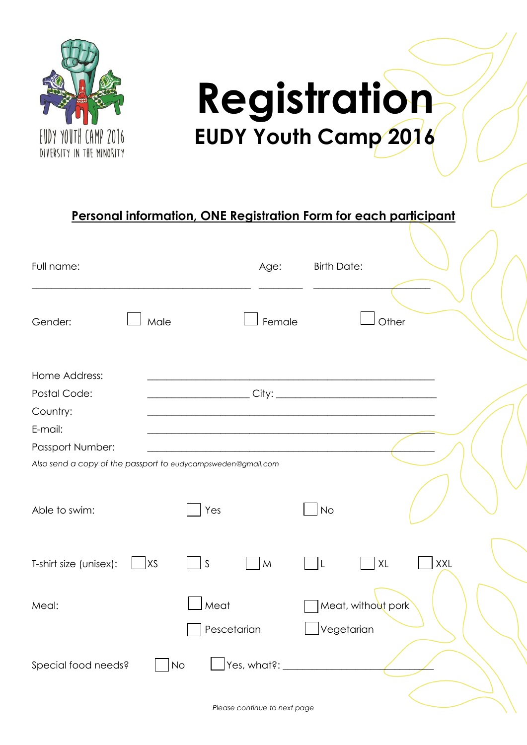

## **Registration EUDY Youth Camp 2016**

## **Personal information, ONE Registration Form for each participant**

| Full name:                                                   |      |             | Age:        | <b>Birth Date:</b> |                    |     |  |
|--------------------------------------------------------------|------|-------------|-------------|--------------------|--------------------|-----|--|
| Gender:                                                      | Male |             | Female      |                    | Other              |     |  |
| Home Address:<br>Postal Code:                                |      |             |             |                    |                    |     |  |
| Country:                                                     |      |             |             |                    |                    |     |  |
| E-mail:                                                      |      |             |             |                    |                    |     |  |
| Passport Number:                                             |      |             |             |                    |                    |     |  |
| Also send a copy of the passport to eudycampsweden@gmail.com |      |             |             |                    |                    |     |  |
| Able to swim:                                                |      | Yes         |             | <b>No</b>          |                    |     |  |
| T-shirt size (unisex):                                       | XS   | S           | M           | L                  | XL                 | XXL |  |
| Meal:                                                        |      | Meat        |             |                    | Meat, without pork |     |  |
|                                                              |      | Pescetarian |             |                    | Vegetarian         |     |  |
| Special food needs?                                          |      | <b>No</b>   | Yes, what?: |                    |                    |     |  |